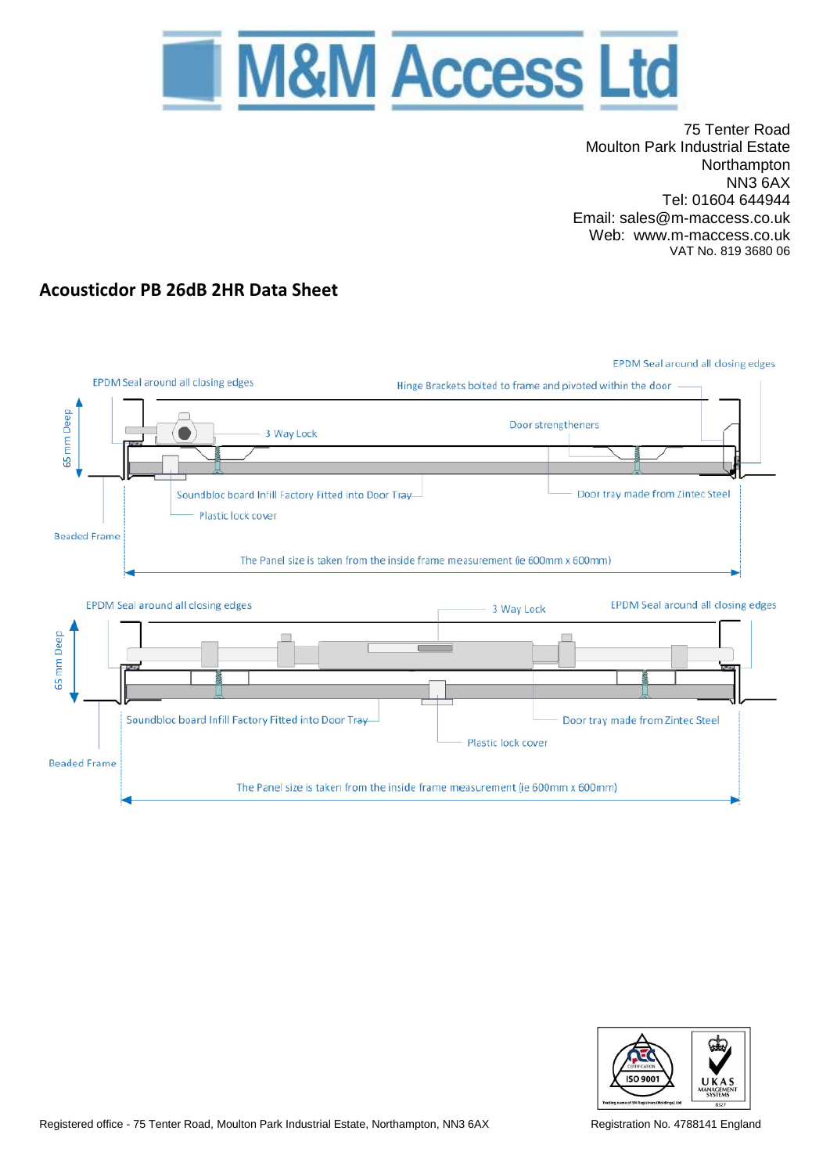

75 Tenter Road Moulton Park Industrial Estate Northampton NN3 6AX Tel: 01604 644944 Email: sales@m-maccess.co.uk Web: www.m-maccess.co.uk VAT No. 819 3680 06

# **Acousticdor PB 26dB 2HR Data Sheet**